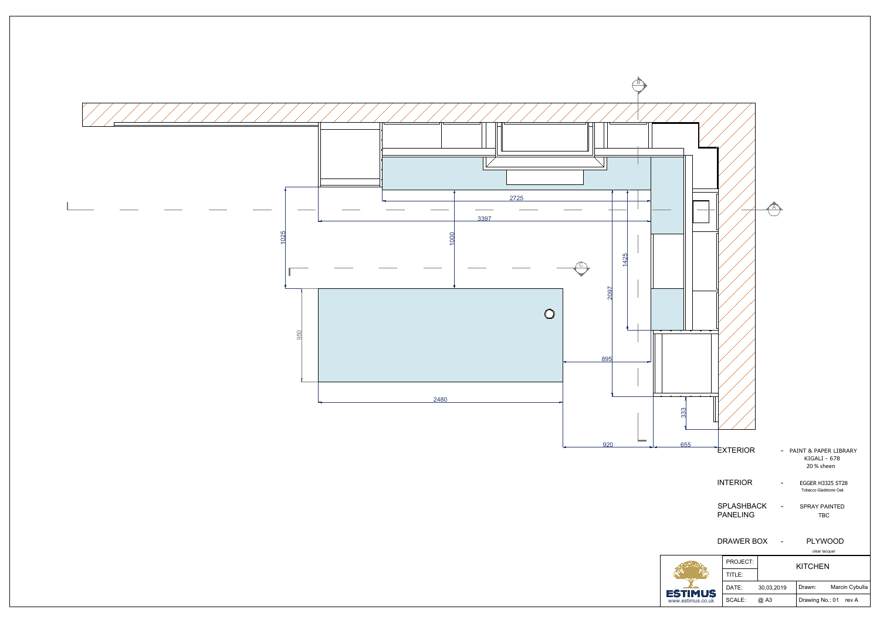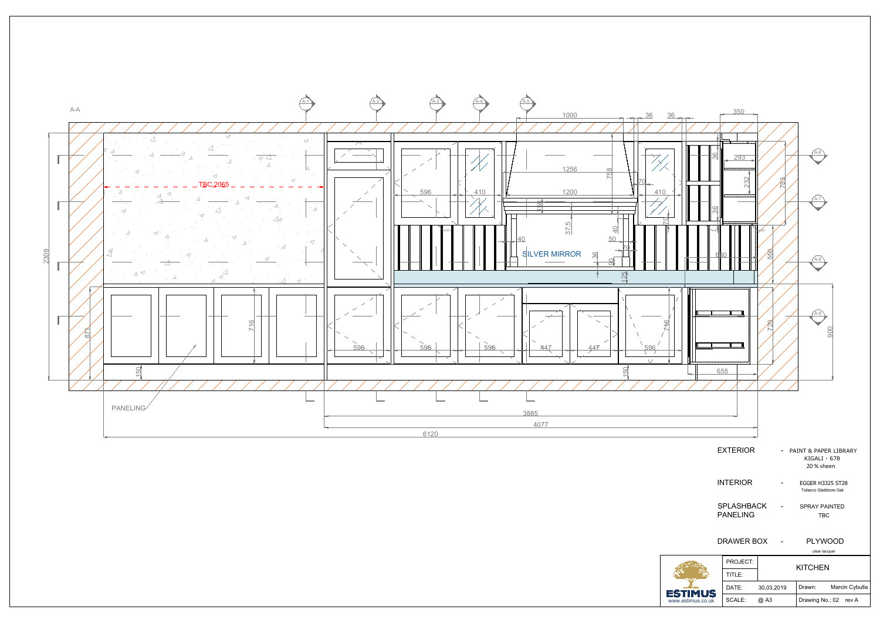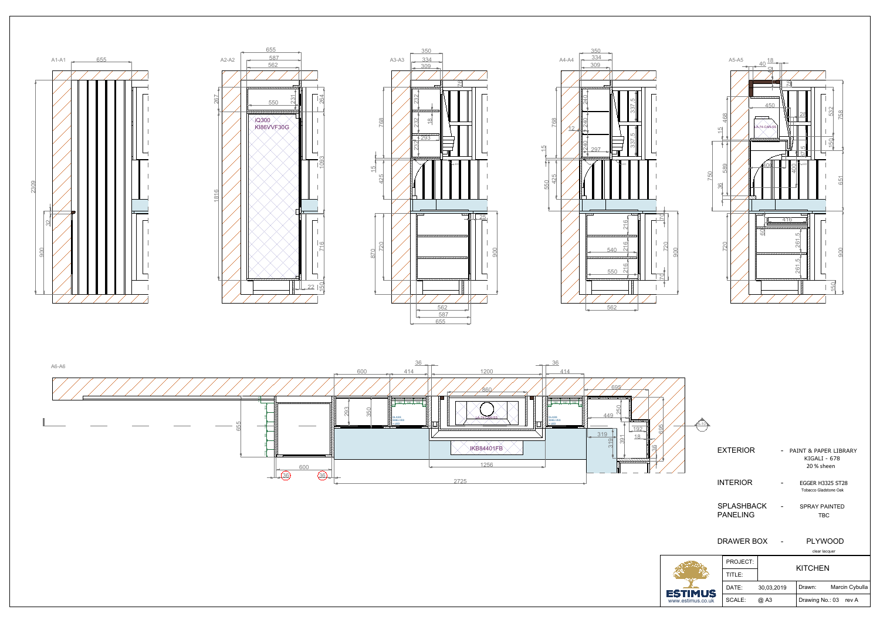

| I PROJECT:     | <b>KITCHEN</b> |                          |  |
|----------------|----------------|--------------------------|--|
| TITI F $\cdot$ |                |                          |  |
| DATE:          | 30.03.2019     | Marcin Cybulla<br>Drawn: |  |
| SCALE:         | @ A3           | Drawing No.: 03 rev A    |  |













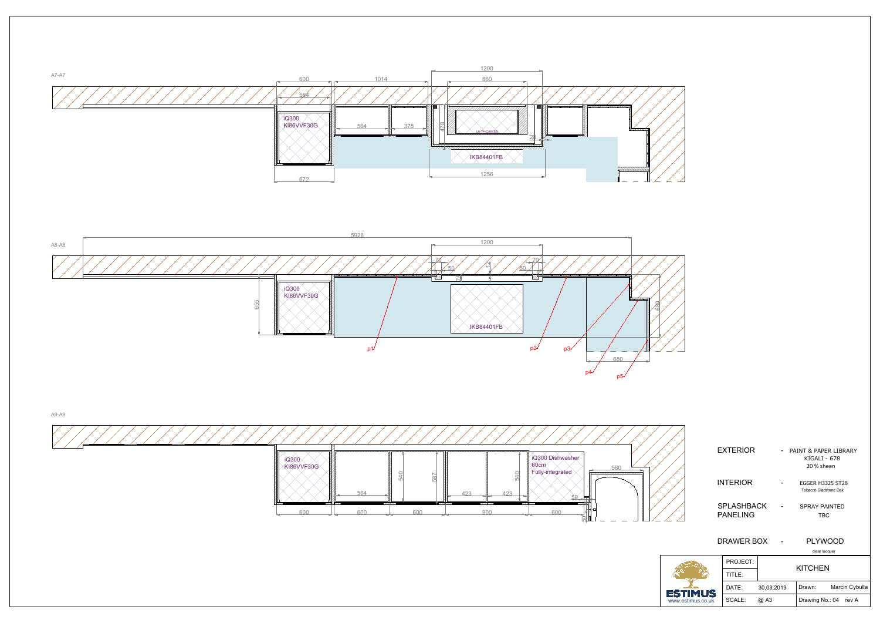| cieal lacquel |                |                          |  |  |
|---------------|----------------|--------------------------|--|--|
| PROJECT:      |                |                          |  |  |
| TITLE:        | <b>KITCHEN</b> |                          |  |  |
| DATE:         | 30,03,2019     | Marcin Cybulla<br>Drawn: |  |  |
| SCALE:        | @ A3           | Drawing No.: 04<br>rev A |  |  |
|               |                |                          |  |  |

| <b>EXTERIOR</b>               | - PAINT & PAPER LIBRARY<br>KIGALI - 678<br>20 % sheen |
|-------------------------------|-------------------------------------------------------|
| <b>INTERIOR</b>               | <b>EGGER H3325 ST28</b><br>Tobacco Gladstone Oak      |
| SPLASHBACK<br><b>PANELING</b> | <b>SPRAY PAINTED</b><br><b>TBC</b>                    |
| DRAWER BOX                    | <b>PLYWOOD</b><br>clear lacquer                       |
| DRO IECT.                     |                                                       |





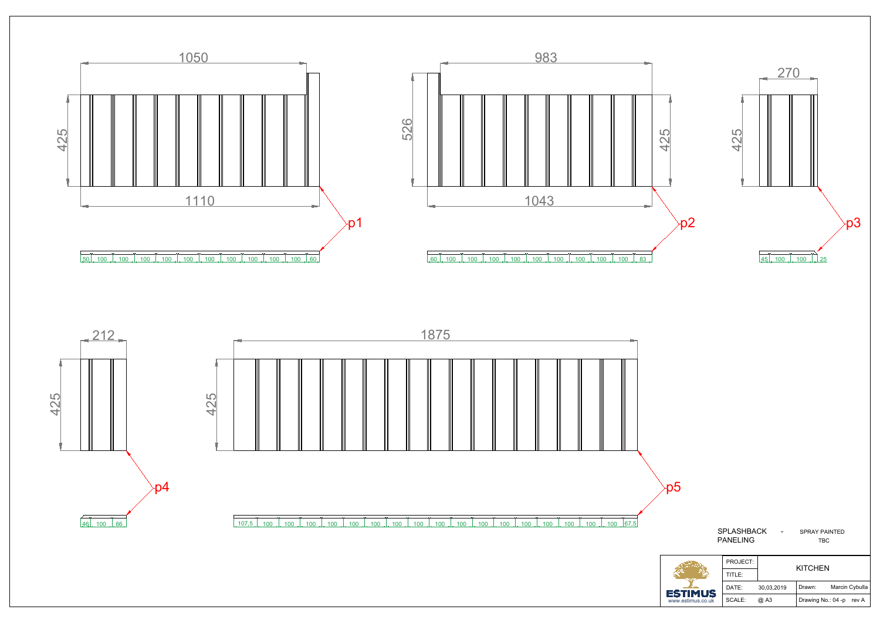| <b>ESTIMUS</b>    | TITLE: |            |                    |                |
|-------------------|--------|------------|--------------------|----------------|
|                   | DATE:  | 30,03,2019 | Drawn:             | Marcin Cybulla |
| www.estimus.co.uk | SCALE: | @ A3       | Drawing No.: 04 -p | rev A          |

| <b>SPLASHBACK</b><br>PANELING |          | SPRAY PAINTED<br><b>TBC</b> |
|-------------------------------|----------|-----------------------------|
|                               | PROJECT: | <b>KITCHEN</b>              |
|                               |          |                             |



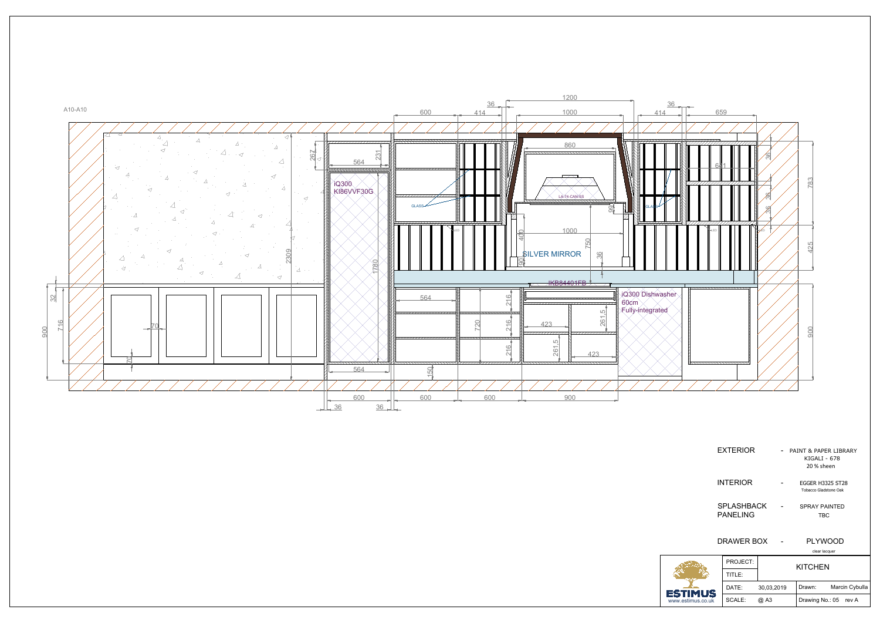

| PROJECT: | <b>KITCHEN</b> |                          |  |
|----------|----------------|--------------------------|--|
| TITLE:   |                |                          |  |
| DATE:    | 30,03,2019     | Marcin Cybulla<br>Drawn: |  |
| SCALE:   | @ A3           | Drawing No.: 05 rev A    |  |

INTERIOR - EGGER H3325 ST28 Tobacco Gladstone Oak

PANELING TBC

SPLASHBACK - SPRAY PAINTED

| EXTERIOR | - PAINT & PAPER LIBRARY |  |
|----------|-------------------------|--|
|          | KIGALI - 678            |  |
|          | 20 % sheen              |  |

## DRAWER BOX - PLYWOOD

clear lacquer

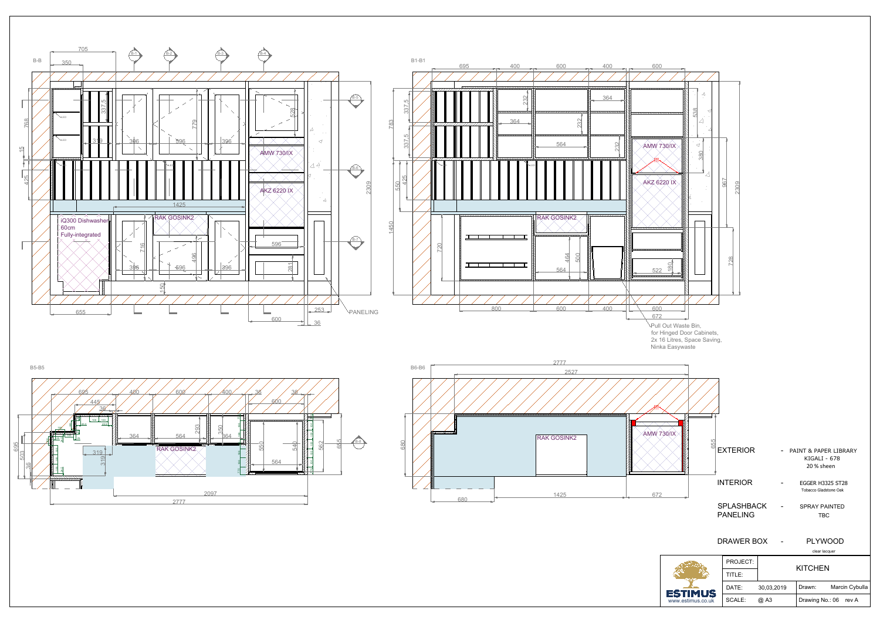|            | 11 I LC. |            |        |                       |  |
|------------|----------|------------|--------|-----------------------|--|
| <b>1US</b> | DATE:    | 30,03,2019 | Drawn: | Marcin Cybulla        |  |
| us.co.uk   | SCALE:   | @ A3       |        | Drawing No.: 06 rev A |  |

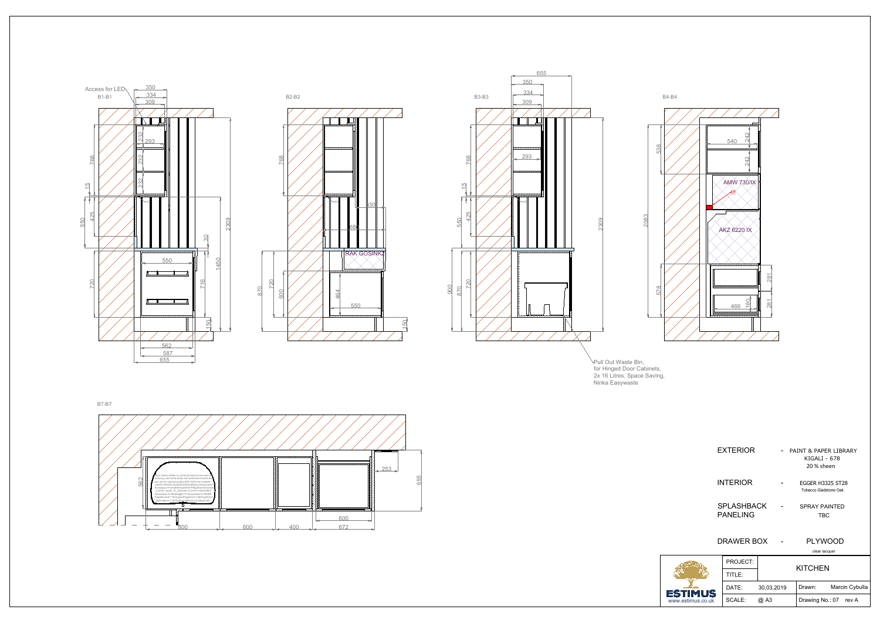

| PROJECT: | <b>KITCHEN</b> |                          |  |
|----------|----------------|--------------------------|--|
| TITLE:   |                |                          |  |
| DATE:    | 30,03,2019     | Marcin Cybulla<br>Drawn: |  |
| SCALE:   | @ A3           | Drawing No.: 07 rev A    |  |

| EXTERIOR                             | PAINT & PAPER LIBRARY<br>KIGALI - 678<br>20 % sheen |
|--------------------------------------|-----------------------------------------------------|
| <b>INTERIOR</b>                      | <b>EGGER H3325 ST28</b><br>Tobacco Gladstone Oak    |
| <b>SPLASHBACK</b><br><b>PANELING</b> | <b>SPRAY PAINTED</b><br>TBC                         |
| DRAWER BOX                           | <b>PLYWOOD</b><br>clear lacquer                     |
| PROJECT:                             |                                                     |

2x 16 Litres, Space Saving, Ninka Easywaste



Pull Out Waste Bin, for Hinged Door Cabinets,



 $\frac{587}{655}$